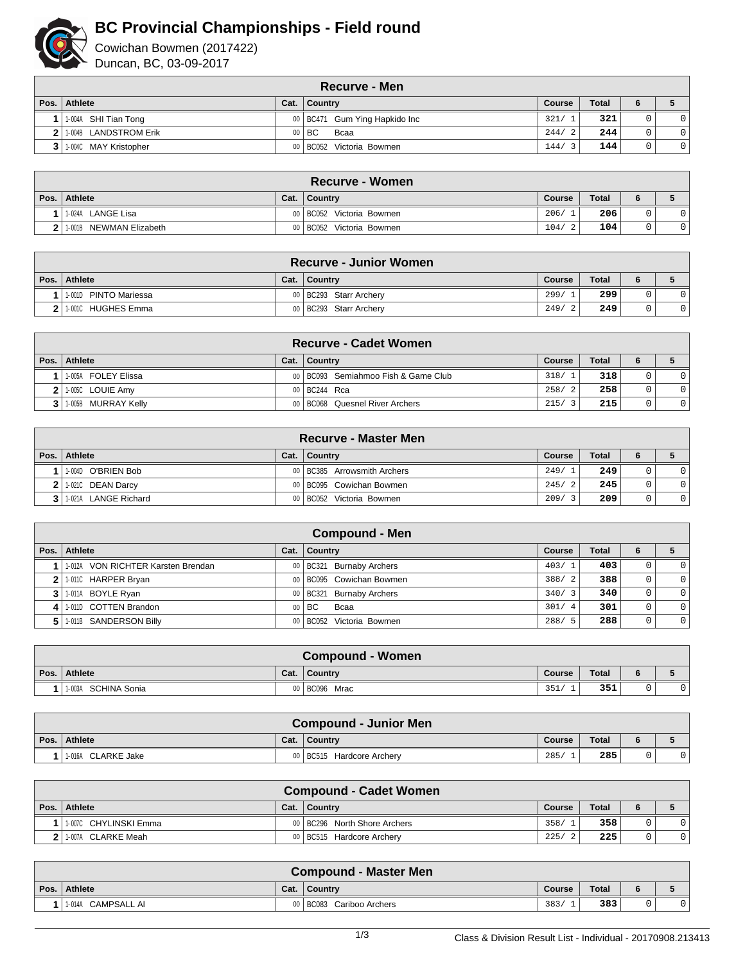

## **BC Provincial Championships - Field round**

Cowichan Bowmen (2017422) Duncan, BC, 03-09-2017

| <b>Recurve - Men</b>    |  |                                 |        |              |   |                |  |  |  |  |
|-------------------------|--|---------------------------------|--------|--------------|---|----------------|--|--|--|--|
| Pos.   Athlete          |  | Cat.   Country                  | Course | <b>Total</b> |   |                |  |  |  |  |
| 1.004A SHI Tian Tong    |  | 00   BC471 Gum Ying Hapkido Inc | 321/   | 321          |   | 0 <sup>1</sup> |  |  |  |  |
| 2 1.004B LANDSTROM Erik |  | $00$ $\mid$ BC<br>Bcaa          | 244/2  | 244          | 0 | 0 <sup>1</sup> |  |  |  |  |
| 11-004C MAY Kristopher  |  | 00   BC052 Victoria Bowmen      | 144/3  | 144          | 0 | 0              |  |  |  |  |

| <b>Recurve - Women</b>   |      |                            |               |              |  |              |  |  |  |  |
|--------------------------|------|----------------------------|---------------|--------------|--|--------------|--|--|--|--|
| ∣ Pos. ∣ Athlete         | Cat. | Country                    | <b>Course</b> | <b>Total</b> |  |              |  |  |  |  |
| 11-024A LANGE Lisa       |      | 00 BC052 Victoria Bowmen   | 206/          | 206          |  | $\mathbf{0}$ |  |  |  |  |
| 11-001B NEWMAN Elizabeth |      | 00   BC052 Victoria Bowmen | 104/          | 104          |  |              |  |  |  |  |

| <b>Recurve - Junior Women</b> |  |                          |               |              |  |  |  |  |  |  |
|-------------------------------|--|--------------------------|---------------|--------------|--|--|--|--|--|--|
| ∣ Pos. ∣ Athlete              |  | Cat.   Country           | <b>Course</b> | <b>Total</b> |  |  |  |  |  |  |
| 1-001D PINTO Mariessa         |  | 00 BC293 Starr Archery   | 299/          | 299          |  |  |  |  |  |  |
| I 1-001C HUGHES Emma          |  | 00   BC293 Starr Archery | 249/          | 249          |  |  |  |  |  |  |

| <b>Recurve - Cadet Women</b> |  |                                       |        |              |  |                |  |  |  |  |
|------------------------------|--|---------------------------------------|--------|--------------|--|----------------|--|--|--|--|
| Pos. Athlete                 |  | Cat.   Country                        | Course | <b>Total</b> |  |                |  |  |  |  |
| 11-005A FOLEY Elissa         |  | 00   BC093 Semiahmoo Fish & Game Club | 318/1  | 318          |  | $\Omega$       |  |  |  |  |
| $2$   1-005C LOUIE Amy       |  | 00 BC244 Rca                          | 258/2  | 258          |  | $\overline{0}$ |  |  |  |  |
| 3   1-005B MURRAY Kelly      |  | 00   BC068 Quesnel River Archers      | 215/3  | 215          |  | $\overline{0}$ |  |  |  |  |

| <b>Recurve - Master Men</b> |      |                               |        |              |  |                |  |  |  |  |
|-----------------------------|------|-------------------------------|--------|--------------|--|----------------|--|--|--|--|
| Pos. Athlete                | Cat. | ∣ Country                     | Course | <b>Total</b> |  |                |  |  |  |  |
| 11-004D O'BRIEN Bob         |      | 00   BC385 Arrowsmith Archers | 249/1  | 249          |  | $\Omega$       |  |  |  |  |
| 2 1.0210 DEAN Darcy         |      | 00   BC095 Cowichan Bowmen    | 245/2  | 245          |  | $\Omega$       |  |  |  |  |
| 3 1-021A LANGE Richard      |      | 00   BC052 Victoria Bowmen    | 209/3  | 209          |  | $\overline{0}$ |  |  |  |  |

| <b>Compound - Men</b>               |  |                            |                        |              |    |                |  |  |  |  |  |
|-------------------------------------|--|----------------------------|------------------------|--------------|----|----------------|--|--|--|--|--|
| Pos. Athlete                        |  | Cat.   Country             | Course                 | <b>Total</b> | 6. |                |  |  |  |  |  |
| 11-012A VON RICHTER Karsten Brendan |  | 00   BC321 Burnaby Archers | 403/1                  | 403          | 0  |                |  |  |  |  |  |
| 2 1.0110 HARPER Bryan               |  | 00   BC095 Cowichan Bowmen | 388/2                  | 388          | 0  | $\overline{0}$ |  |  |  |  |  |
| 3 1-011A BOYLE Ryan                 |  | 00   BC321 Burnaby Archers | 340/3                  | 340          | 0  | $\Omega$       |  |  |  |  |  |
| 4 1.010 COTTEN Brandon              |  | $00$ $\mid$ BC<br>Bcaa     | 301/<br>$\overline{4}$ | 301          | 0  | $\overline{0}$ |  |  |  |  |  |
| 5 1.011B SANDERSON Billy            |  | 00 BC052 Victoria Bowmen   | 288/<br>-5             | 288          | 0  | $\overline{0}$ |  |  |  |  |  |

| <b>Compound - Women</b> |      |                 |        |              |  |  |  |  |  |  |
|-------------------------|------|-----------------|--------|--------------|--|--|--|--|--|--|
| Pos. Athlete            | Cat. | l Countrv       | Course | <b>Total</b> |  |  |  |  |  |  |
| SCHINA Sonia<br>1-003A  |      | $00$ BC096 Mrac | 351/   | 351          |  |  |  |  |  |  |

| <b>Compound - Junior Men</b> |      |                                     |        |              |  |  |  |  |  |  |
|------------------------------|------|-------------------------------------|--------|--------------|--|--|--|--|--|--|
| Pos. Athlete                 | Cat. | ∣ Countrv                           | Course | <b>Total</b> |  |  |  |  |  |  |
| 1-016A CLARKE Jake           |      | 00 BC515<br><b>Hardcore Archerv</b> | 285    | 285          |  |  |  |  |  |  |

| <b>Compound - Cadet Women</b> |      |                                |        |              |  |  |  |  |  |  |
|-------------------------------|------|--------------------------------|--------|--------------|--|--|--|--|--|--|
| Pos.   Athlete                | Cat. | Country                        | Course | <b>Total</b> |  |  |  |  |  |  |
| 11-007C CHYLINSKI Emma        |      | 00   BC296 North Shore Archers | 358/   | 358          |  |  |  |  |  |  |
| 11-007A CLARKE Meah           |      | 00 BC515 Hardcore Archery      | 225/   | 225          |  |  |  |  |  |  |

|      | <b>Compound - Master Men</b> |      |                             |        |       |  |  |  |  |  |  |
|------|------------------------------|------|-----------------------------|--------|-------|--|--|--|--|--|--|
| Pos. | Athlete                      | Cat. | Country                     | Course | Total |  |  |  |  |  |  |
|      | CAMPSALL AI<br>1-014A        |      | 00 BC083<br>Cariboo Archers | 383/   | 383   |  |  |  |  |  |  |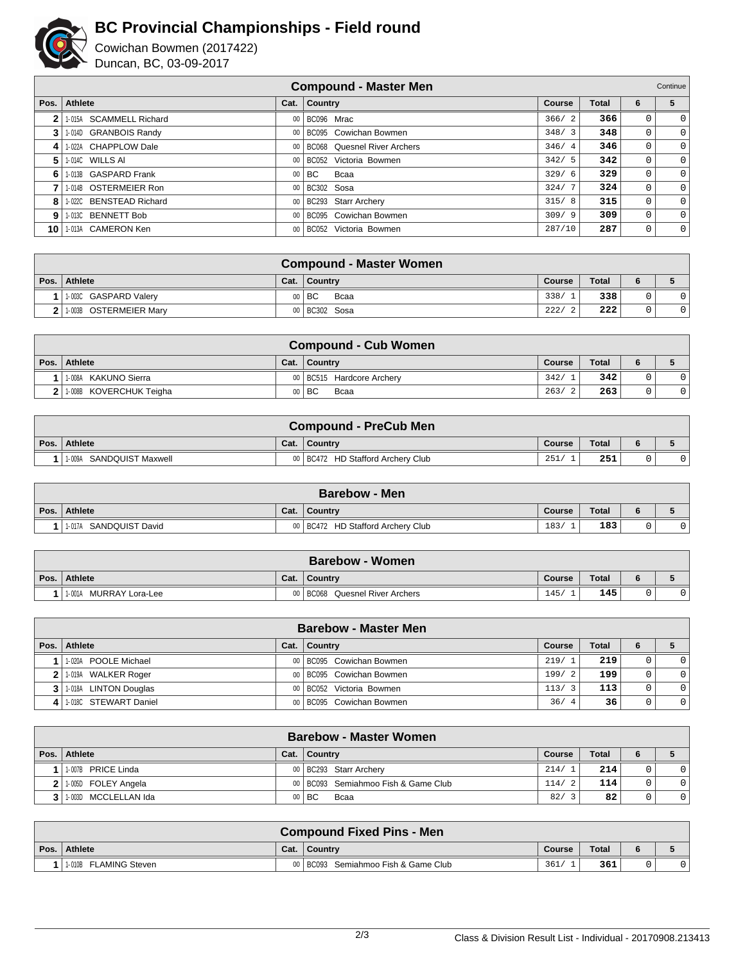

## **BC Provincial Championships - Field round**

Cowichan Bowmen (2017422) Duncan, BC, 03-09-2017

|    | <b>Compound - Master Men</b><br>Continue |      |                                |               |       |             |             |  |  |  |  |
|----|------------------------------------------|------|--------------------------------|---------------|-------|-------------|-------------|--|--|--|--|
|    | Pos. Athlete                             | Cat. | Country                        | <b>Course</b> | Total | 6           | 5           |  |  |  |  |
| 2  | 1-015A SCAMMELL Richard                  |      | 00   BC096 Mrac                | 366/<br>- 2   | 366   |             | 0           |  |  |  |  |
| 3  | 1-014D GRANBOIS Randy                    |      | 00 BC095 Cowichan Bowmen       | 348/3         | 348   | 0           | 0           |  |  |  |  |
| 4  | 1-022A CHAPPLOW Dale                     |      | 00 BC068 Quesnel River Archers | 346/4         | 346   | $\mathbf 0$ | 0           |  |  |  |  |
| 5  | 1-014C WILLS AI                          |      | 00 BC052 Victoria Bowmen       | 342/5         | 342   | 0           | $\mathbf 0$ |  |  |  |  |
| 6  | 1-013B GASPARD Frank                     |      | $00$ $\mid$ BC<br>Bcaa         | 329/6         | 329   | 0           | 0           |  |  |  |  |
| 7  | 1-014B OSTERMEIER Ron                    |      | 00 BC302 Sosa                  | 324/7         | 324   | 0           | 0           |  |  |  |  |
| 8  | 1-022C BENSTEAD Richard                  |      | 00   BC293 Starr Archery       | 315/8         | 315   | $\mathbf 0$ | 0           |  |  |  |  |
| 9  | 1-013C BENNETT Bob                       |      | 00   BC095 Cowichan Bowmen     | 309/9         | 309   | 0           | 0           |  |  |  |  |
| 10 | 1-013A CAMERON Ken                       |      | 00 BC052 Victoria Bowmen       | 287/10        | 287   | 0           | $\mathbf 0$ |  |  |  |  |

| <b>Compound - Master Women</b> |      |                 |        |              |  |  |  |  |  |  |
|--------------------------------|------|-----------------|--------|--------------|--|--|--|--|--|--|
| Pos. Athlete                   | Cat. | Country         | Course | <b>Total</b> |  |  |  |  |  |  |
| 1.003C GASPARD Valery          |      | 00   BC<br>Bcaa | 338/   | 338          |  |  |  |  |  |  |
| 2 1.003B OSTERMEIER Mary       |      | 00 BC302 Sosa   | 222/   | 222          |  |  |  |  |  |  |

|      | <b>Compound - Cub Women</b> |      |                             |        |              |  |  |  |  |  |
|------|-----------------------------|------|-----------------------------|--------|--------------|--|--|--|--|--|
| Pos. | Athlete                     | Cat. | ∣ Country                   | Course | <b>Total</b> |  |  |  |  |  |
|      | 11-008A KAKUNO Sierra       |      | 00   BC515 Hardcore Archery | 342/   | 342          |  |  |  |  |  |
|      | 2 1-008B KOVERCHUK Teigha   |      | $00$ $\mid$ BC<br>Bcaa      | 263/   | 263          |  |  |  |  |  |

|      | <b>Compound - PreCub Men</b> |      |                                     |        |       |  |  |  |  |  |  |
|------|------------------------------|------|-------------------------------------|--------|-------|--|--|--|--|--|--|
| Pos. | Athlete                      | Cat. | ∣ Country                           | Course | Total |  |  |  |  |  |  |
|      | SANDQUIST Maxwell<br>1-009A  |      | 00   BC472 HD Stafford Archery Club | 251/   | 251   |  |  |  |  |  |  |

|      | <b>Barebow - Men</b>      |      |                                     |        |       |  |  |  |  |  |  |
|------|---------------------------|------|-------------------------------------|--------|-------|--|--|--|--|--|--|
| Pos. | Athlete                   | Cat. | Country                             | Course | Total |  |  |  |  |  |  |
|      | SANDQUIST David<br>1-017A |      | 00   BC472 HD Stafford Archery Club | 183/   | 183   |  |  |  |  |  |  |

|      | <b>Barebow - Women</b>    |      |                                   |        |              |  |  |  |  |  |
|------|---------------------------|------|-----------------------------------|--------|--------------|--|--|--|--|--|
| Pos. | <b>Athlete</b>            | Cat. | <b>Country</b>                    | Course | <b>Total</b> |  |  |  |  |  |
|      | MURRAY Lora-Lee<br>1-001A |      | 00 BC068<br>Quesnel River Archers | 145    | 145          |  |  |  |  |  |

|   | <b>Barebow - Master Men</b> |  |                            |               |              |   |          |  |  |  |
|---|-----------------------------|--|----------------------------|---------------|--------------|---|----------|--|--|--|
|   | Pos.   Athlete              |  | Cat.   Country             | <b>Course</b> | <b>Total</b> | 6 |          |  |  |  |
|   | 1-020A POOLE Michael        |  | 00   BC095 Cowichan Bowmen | 219/1         | 219          |   |          |  |  |  |
| 2 | 1-019A WALKER Roger         |  | 00   BC095 Cowichan Bowmen | 199/<br>- 2   | 199          |   | $\Omega$ |  |  |  |
|   | 3 1.018A LINTON Douglas     |  | 00   BC052 Victoria Bowmen | 113/3         | 113          |   | $\Omega$ |  |  |  |
|   | 4 1.0180 STEWART Daniel     |  | 00   BC095 Cowichan Bowmen | 36/<br>-4     | 36           |   | $\Omega$ |  |  |  |

|                | <b>Barebow - Master Women</b> |  |                                     |        |              |  |                |  |  |  |
|----------------|-------------------------------|--|-------------------------------------|--------|--------------|--|----------------|--|--|--|
|                | Pos. Athlete                  |  | Cat.   Country                      | Course | <b>Total</b> |  |                |  |  |  |
|                | 1-007B PRICE Linda            |  | 00   BC293 Starr Archery            | 214/1  | 214          |  | $\Omega$       |  |  |  |
| 2 <sup>1</sup> | 1.005D FOLEY Angela           |  | 00 BC093 Semiahmoo Fish & Game Club | 114/   | 114          |  | $\mathbf 0$    |  |  |  |
|                | MCCLELLAN Ida<br>$1 - 003D$   |  | $00$ $\vert$ BC<br>Bcaa             | 82/    | 82           |  | $\overline{0}$ |  |  |  |

|      |                       |      | <b>Compound Fixed Pins - Men</b>      |        |              |   |  |
|------|-----------------------|------|---------------------------------------|--------|--------------|---|--|
| Pos. | Athlete               | Cat. | <b>Country</b>                        | Course | <b>Total</b> | 6 |  |
|      | 1-010B FLAMING Steven |      | 00   BC093 Semiahmoo Fish & Game Club | 361    | 361          |   |  |